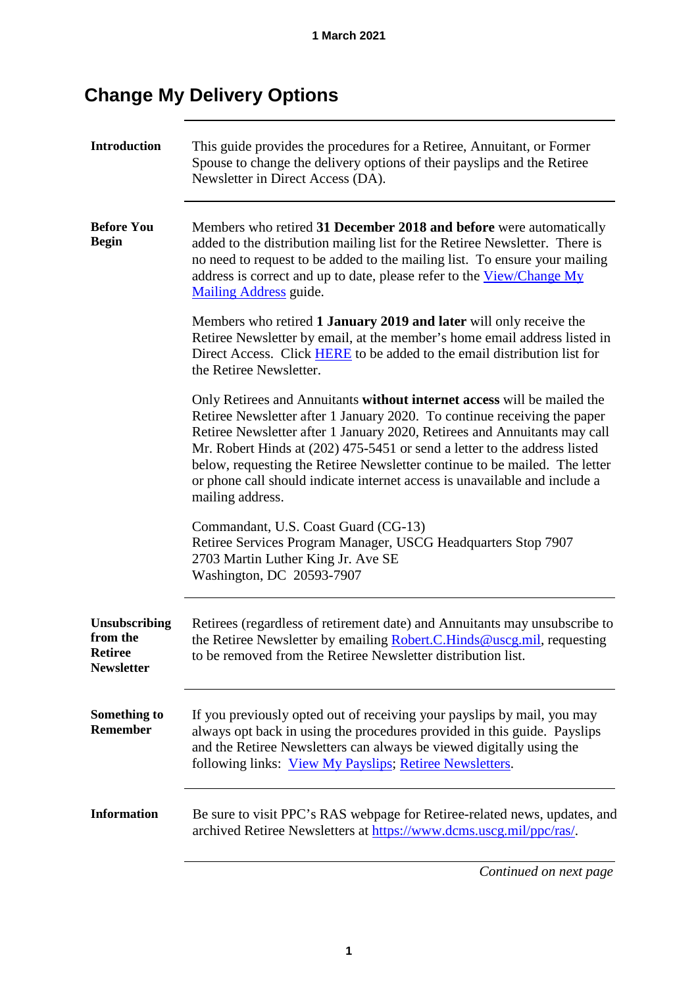## **Change My Delivery Options**

<span id="page-0-0"></span>

| <b>Introduction</b>                                       | This guide provides the procedures for a Retiree, Annuitant, or Former<br>Spouse to change the delivery options of their payslips and the Retiree<br>Newsletter in Direct Access (DA).                                                                                                                                                                                                                                                                                                        |  |
|-----------------------------------------------------------|-----------------------------------------------------------------------------------------------------------------------------------------------------------------------------------------------------------------------------------------------------------------------------------------------------------------------------------------------------------------------------------------------------------------------------------------------------------------------------------------------|--|
| <b>Before You</b><br><b>Begin</b>                         | Members who retired 31 December 2018 and before were automatically<br>added to the distribution mailing list for the Retiree Newsletter. There is<br>no need to request to be added to the mailing list. To ensure your mailing<br>address is correct and up to date, please refer to the View/Change My<br><b>Mailing Address</b> guide.                                                                                                                                                     |  |
|                                                           | Members who retired 1 January 2019 and later will only receive the<br>Retiree Newsletter by email, at the member's home email address listed in<br>Direct Access. Click <b>HERE</b> to be added to the email distribution list for<br>the Retiree Newsletter.                                                                                                                                                                                                                                 |  |
|                                                           | Only Retirees and Annuitants without internet access will be mailed the<br>Retiree Newsletter after 1 January 2020. To continue receiving the paper<br>Retiree Newsletter after 1 January 2020, Retirees and Annuitants may call<br>Mr. Robert Hinds at (202) 475-5451 or send a letter to the address listed<br>below, requesting the Retiree Newsletter continue to be mailed. The letter<br>or phone call should indicate internet access is unavailable and include a<br>mailing address. |  |
|                                                           | Commandant, U.S. Coast Guard (CG-13)<br>Retiree Services Program Manager, USCG Headquarters Stop 7907<br>2703 Martin Luther King Jr. Ave SE<br>Washington, DC 20593-7907                                                                                                                                                                                                                                                                                                                      |  |
| Unsubscribing<br>from the<br>Retiree<br><b>Newsletter</b> | Retirees (regardless of retirement date) and Annuitants may unsubscribe to<br>the Retiree Newsletter by emailing Robert.C.Hinds@uscg.mil, requesting<br>to be removed from the Retiree Newsletter distribution list.                                                                                                                                                                                                                                                                          |  |
| Something to<br><b>Remember</b>                           | If you previously opted out of receiving your payslips by mail, you may<br>always opt back in using the procedures provided in this guide. Payslips<br>and the Retiree Newsletters can always be viewed digitally using the<br>following links: View My Payslips; Retiree Newsletters.                                                                                                                                                                                                        |  |
| <b>Information</b>                                        | Be sure to visit PPC's RAS webpage for Retiree-related news, updates, and<br>archived Retiree Newsletters at https://www.dcms.uscg.mil/ppc/ras/.                                                                                                                                                                                                                                                                                                                                              |  |

*Continued on next page*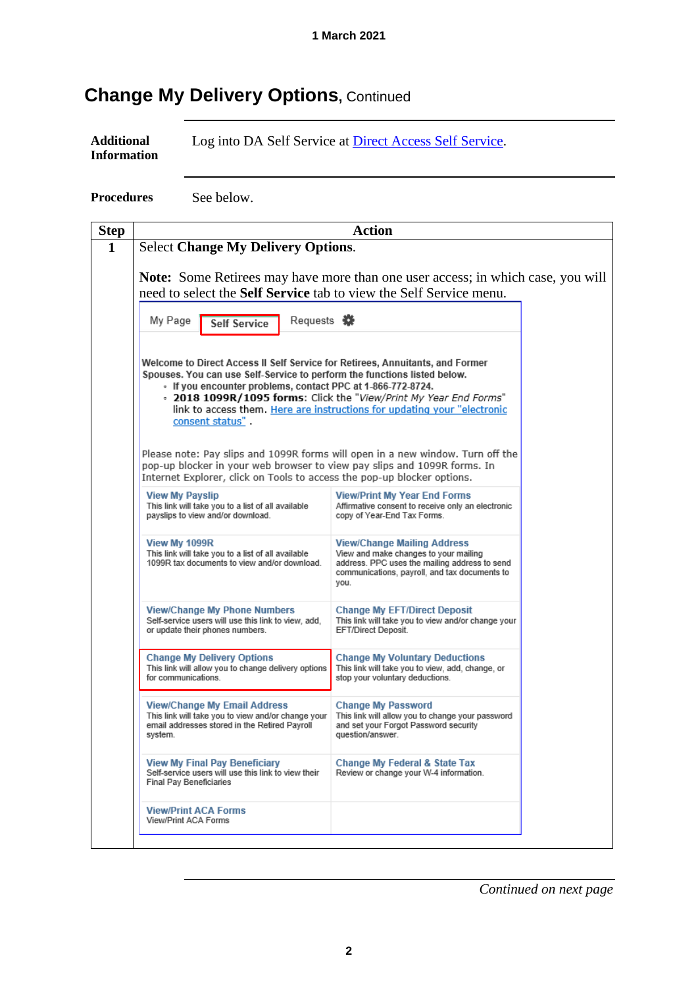## **Change My Delivery Options, Continued**

**Procedures** See below.



*Continued on next page*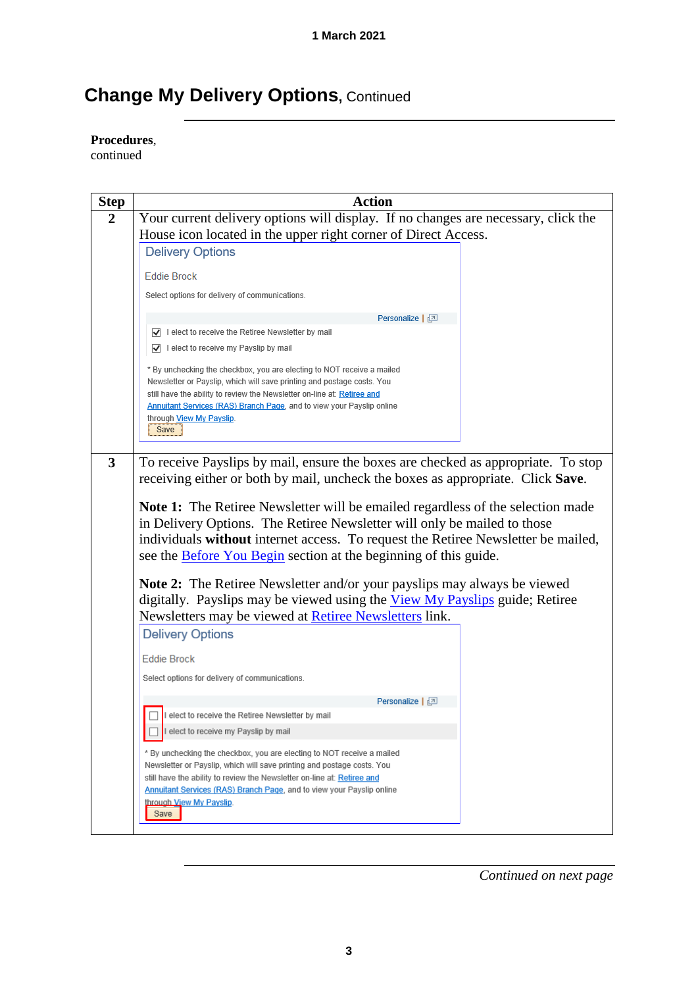## **Change My Delivery Options, Continued**

**Procedures**,

continued

| <b>Step</b> | <b>Action</b>                                                                                                                                     |  |  |
|-------------|---------------------------------------------------------------------------------------------------------------------------------------------------|--|--|
| 2           | Your current delivery options will display. If no changes are necessary, click the                                                                |  |  |
|             | House icon located in the upper right corner of Direct Access.                                                                                    |  |  |
|             | <b>Delivery Options</b>                                                                                                                           |  |  |
|             | <b>Eddie Brock</b>                                                                                                                                |  |  |
|             | Select options for delivery of communications.                                                                                                    |  |  |
|             |                                                                                                                                                   |  |  |
|             | Personalize   2                                                                                                                                   |  |  |
|             | I elect to receive the Retiree Newsletter by mail                                                                                                 |  |  |
|             | I elect to receive my Payslip by mail                                                                                                             |  |  |
|             | * By unchecking the checkbox, you are electing to NOT receive a mailed                                                                            |  |  |
|             | Newsletter or Payslip, which will save printing and postage costs. You                                                                            |  |  |
|             | still have the ability to review the Newsletter on-line at: Retiree and<br>Annuitant Services (RAS) Branch Page, and to view your Payslip online  |  |  |
|             | through View My Payslip.                                                                                                                          |  |  |
|             | Save                                                                                                                                              |  |  |
|             |                                                                                                                                                   |  |  |
| 3           | To receive Payslips by mail, ensure the boxes are checked as appropriate. To stop                                                                 |  |  |
|             | receiving either or both by mail, uncheck the boxes as appropriate. Click Save.                                                                   |  |  |
|             |                                                                                                                                                   |  |  |
|             | <b>Note 1:</b> The Retiree Newsletter will be emailed regardless of the selection made                                                            |  |  |
|             | in Delivery Options. The Retiree Newsletter will only be mailed to those                                                                          |  |  |
|             | individuals without internet access. To request the Retiree Newsletter be mailed,                                                                 |  |  |
|             | see the <b>Before You Begin</b> section at the beginning of this guide.                                                                           |  |  |
|             | <b>Note 2:</b> The Retiree Newsletter and/or your payslips may always be viewed                                                                   |  |  |
|             | digitally. Payslips may be viewed using the View My Payslips guide; Retiree                                                                       |  |  |
|             | Newsletters may be viewed at Retiree Newsletters link.                                                                                            |  |  |
|             | <b>Delivery Options</b>                                                                                                                           |  |  |
|             |                                                                                                                                                   |  |  |
|             | <b>Eddie Brock</b>                                                                                                                                |  |  |
|             | Select options for delivery of communications.                                                                                                    |  |  |
|             | Personalize   [기                                                                                                                                  |  |  |
|             | I elect to receive the Retiree Newsletter by mail                                                                                                 |  |  |
|             | elect to receive my Payslip by mail                                                                                                               |  |  |
|             |                                                                                                                                                   |  |  |
|             | * By unchecking the checkbox, you are electing to NOT receive a mailed                                                                            |  |  |
|             | Newsletter or Payslip, which will save printing and postage costs. You<br>still have the ability to review the Newsletter on-line at: Retiree and |  |  |
|             | <b>Annuitant Services (RAS) Branch Page</b> , and to view your Payslip online                                                                     |  |  |
|             | through View My Payslip.                                                                                                                          |  |  |
|             | Save                                                                                                                                              |  |  |

*Continued on next page*